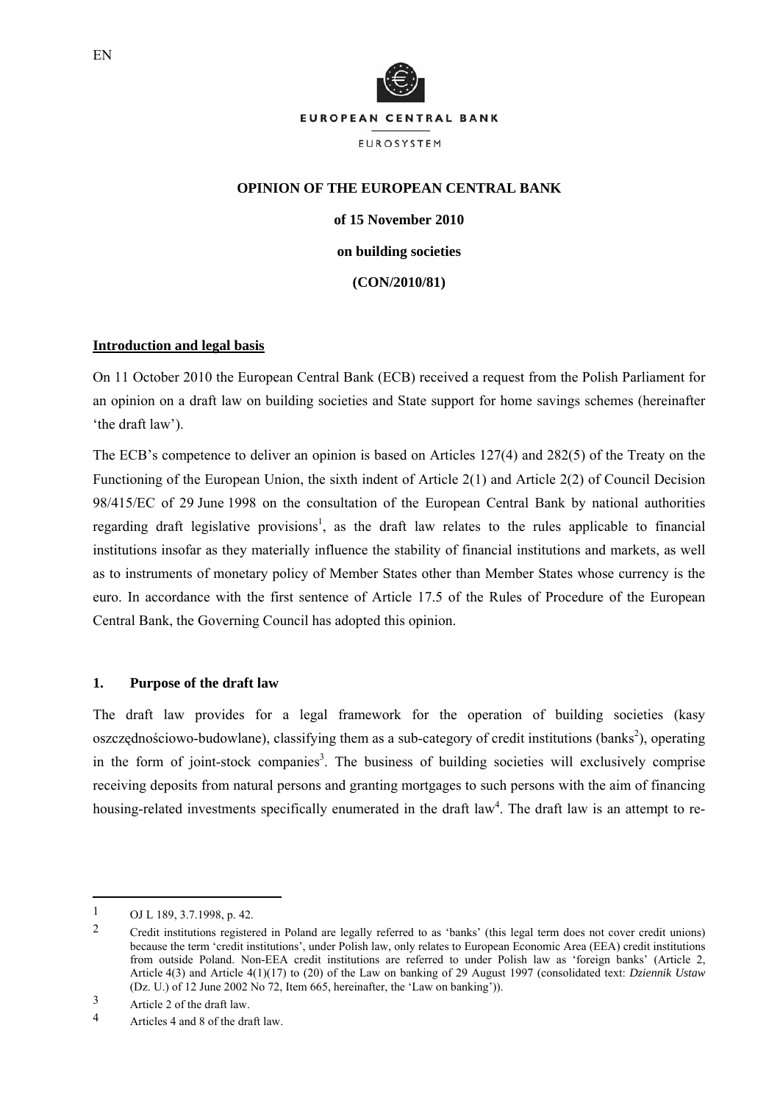

# **OPINION OF THE EUROPEAN CENTRAL BANK**

**of 15 November 2010** 

**on building societies** 

**(CON/2010/81)** 

#### **Introduction and legal basis**

On 11 October 2010 the European Central Bank (ECB) received a request from the Polish Parliament for an opinion on a draft law on building societies and State support for home savings schemes (hereinafter 'the draft law').

The ECB's competence to deliver an opinion is based on Articles 127(4) and 282(5) of the Treaty on the Functioning of the European Union, the sixth indent of Article 2(1) and Article 2(2) of Council Decision 98/415/EC of 29 June 1998 on the consultation of the European Central Bank by national authorities regarding draft legislative provisions<sup>1</sup>, as the draft law relates to the rules applicable to financial institutions insofar as they materially influence the stability of financial institutions and markets, as well as to instruments of monetary policy of Member States other than Member States whose currency is the euro. In accordance with the first sentence of Article 17.5 of the Rules of Procedure of the European Central Bank, the Governing Council has adopted this opinion.

#### **1. Purpose of the draft law**

The draft law provides for a legal framework for the operation of building societies (kasy oszczędnościowo-budowlane), classifying them as a sub-category of credit institutions (banks<sup>2</sup>), operating in the form of joint-stock companies<sup>3</sup>. The business of building societies will exclusively comprise receiving deposits from natural persons and granting mortgages to such persons with the aim of financing housing-related investments specifically enumerated in the draft law<sup>4</sup>. The draft law is an attempt to re-

1

 $1$  OJ L 189, 3.7.1998, p. 42.

<sup>2</sup> Credit institutions registered in Poland are legally referred to as 'banks' (this legal term does not cover credit unions) because the term 'credit institutions', under Polish law, only relates to European Economic Area (EEA) credit institutions from outside Poland. Non-EEA credit institutions are referred to under Polish law as 'foreign banks' (Article 2, Article 4(3) and Article 4(1)(17) to (20) of the Law on banking of 29 August 1997 (consolidated text: *Dziennik Ustaw* (Dz. U.) of 12 June 2002 No 72, Item 665, hereinafter, the 'Law on banking')).

<sup>3</sup> Article 2 of the draft law.

<sup>4</sup> Articles 4 and 8 of the draft law.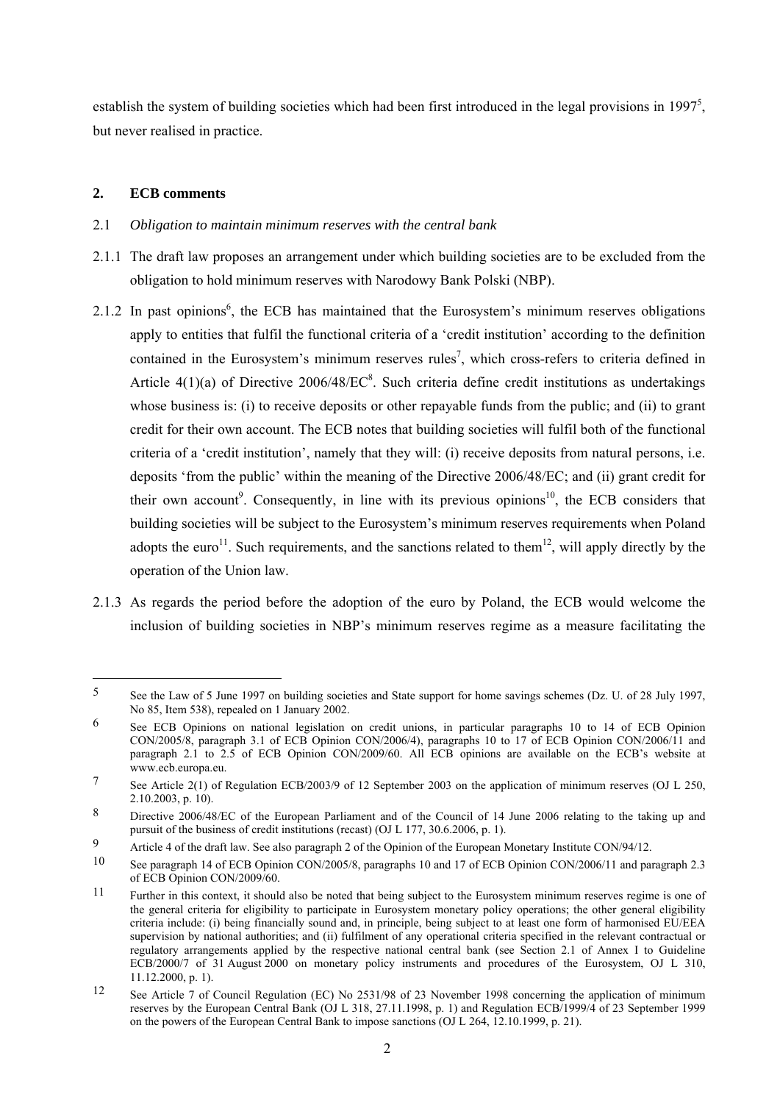establish the system of building societies which had been first introduced in the legal provisions in 1997 $^5$ , but never realised in practice.

# **2. ECB comments**

1

### 2.1 *Obligation to maintain minimum reserves with the central bank*

- 2.1.1 The draft law proposes an arrangement under which building societies are to be excluded from the obligation to hold minimum reserves with Narodowy Bank Polski (NBP).
- 2.1.2 In past opinions<sup>6</sup>, the ECB has maintained that the Eurosystem's minimum reserves obligations apply to entities that fulfil the functional criteria of a 'credit institution' according to the definition contained in the Eurosystem's minimum reserves rules<sup>7</sup>, which cross-refers to criteria defined in Article  $4(1)(a)$  of Directive 2006/48/EC<sup>8</sup>. Such criteria define credit institutions as undertakings whose business is: (i) to receive deposits or other repayable funds from the public; and (ii) to grant credit for their own account. The ECB notes that building societies will fulfil both of the functional criteria of a 'credit institution', namely that they will: (i) receive deposits from natural persons, i.e. deposits 'from the public' within the meaning of the Directive 2006/48/EC; and (ii) grant credit for their own account<sup>9</sup>. Consequently, in line with its previous opinions<sup>10</sup>, the ECB considers that building societies will be subject to the Eurosystem's minimum reserves requirements when Poland adopts the euro<sup>11</sup>. Such requirements, and the sanctions related to them<sup>12</sup>, will apply directly by the operation of the Union law.
- 2.1.3 As regards the period before the adoption of the euro by Poland, the ECB would welcome the inclusion of building societies in NBP's minimum reserves regime as a measure facilitating the

<sup>5</sup> See the Law of 5 June 1997 on building societies and State support for home savings schemes (Dz. U. of 28 July 1997, No 85, Item 538), repealed on 1 January 2002.

<sup>6</sup> See ECB Opinions on national legislation on credit unions, in particular paragraphs 10 to 14 of ECB Opinion CON/2005/8, paragraph 3.1 of ECB Opinion CON/2006/4), paragraphs 10 to 17 of ECB Opinion CON/2006/11 and paragraph 2.1 to 2.5 of ECB Opinion CON/2009/60. All ECB opinions are available on the ECB's website at www.ecb.europa.eu.

<sup>7</sup> See Article 2(1) of Regulation ECB/2003/9 of 12 September 2003 on the application of minimum reserves (OJ L 250, 2.10.2003, p. 10).

<sup>8</sup> Directive 2006/48/EC of the European Parliament and of the Council of 14 June 2006 relating to the taking up and pursuit of the business of credit institutions (recast) (OJ L 177, 30.6.2006, p. 1).

<sup>9</sup> Article 4 of the draft law. See also paragraph 2 of the Opinion of the European Monetary Institute CON/94/12.

<sup>10</sup> See paragraph 14 of ECB Opinion CON/2005/8, paragraphs 10 and 17 of ECB Opinion CON/2006/11 and paragraph 2.3 of ECB Opinion CON/2009/60.

<sup>&</sup>lt;sup>11</sup> Further in this context, it should also be noted that being subject to the Eurosystem minimum reserves regime is one of the general criteria for eligibility to participate in Eurosystem monetary policy operations; the other general eligibility criteria include: (i) being financially sound and, in principle, being subject to at least one form of harmonised EU/EEA supervision by national authorities; and (ii) fulfilment of any operational criteria specified in the relevant contractual or regulatory arrangements applied by the respective national central bank (see Section 2.1 of Annex I to Guideline ECB/2000/7 of 31 August 2000 on monetary policy instruments and procedures of the Eurosystem, OJ L 310, 11.12.2000, p. 1).

<sup>12</sup> See Article 7 of Council Regulation (EC) No 2531/98 of 23 November 1998 concerning the application of minimum reserves by the European Central Bank (OJ L 318, 27.11.1998, p. 1) and Regulation ECB/1999/4 of 23 September 1999 on the powers of the European Central Bank to impose sanctions (OJ L 264, 12.10.1999, p. 21).